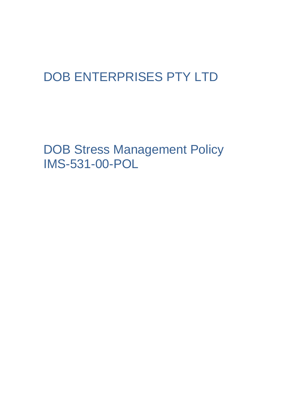# DOB ENTERPRISES PTY LTD

DOB Stress Management Policy IMS-531-00-POL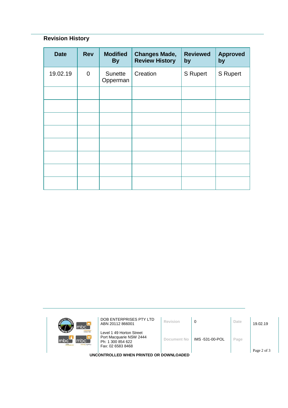# **Revision History**

| <b>Date</b> | <b>Rev</b>     | <b>Modified</b><br><b>By</b> | <b>Changes Made,</b><br><b>Review History</b> | <b>Reviewed</b><br>by | <b>Approved</b><br>by |
|-------------|----------------|------------------------------|-----------------------------------------------|-----------------------|-----------------------|
| 19.02.19    | $\overline{0}$ | Sunette<br>Opperman          | Creation                                      | <b>S</b> Rupert       | <b>S</b> Rupert       |
|             |                |                              |                                               |                       |                       |
|             |                |                              |                                               |                       |                       |
|             |                |                              |                                               |                       |                       |
|             |                |                              |                                               |                       |                       |
|             |                |                              |                                               |                       |                       |
|             |                |                              |                                               |                       |                       |
|             |                |                              |                                               |                       |                       |
|             |                |                              |                                               |                       |                       |

| mbc <sup>-</sup>                                                        | DOB ENTERPRISES PTY LTD<br>ABN 20112 866001                                                   | Revision    | 0               | Date | 19.02.19 |  |
|-------------------------------------------------------------------------|-----------------------------------------------------------------------------------------------|-------------|-----------------|------|----------|--|
| <b>Icloour hire</b><br>mbc`<br>Imbc<br>m <sub>k</sub><br>sursing agency | Level 1 49 Horton Street<br>Port Macquarie NSW 2444<br>Ph: 1 300 854 622<br>Fax: 02 6583 8468 | Document No | IMS -531-00-POL | Page |          |  |
| Page 2 of 3<br>UNCONTROLLED WHEN PRINTED OR DOWNLOADED                  |                                                                                               |             |                 |      |          |  |